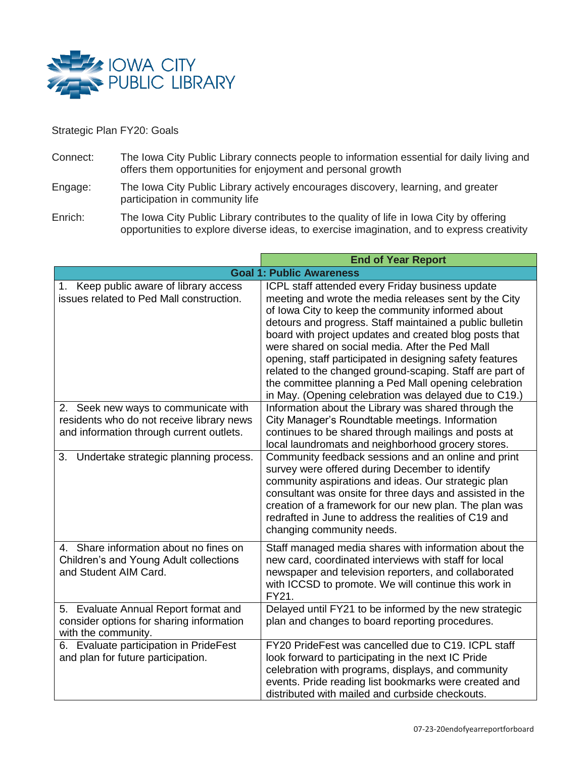

## Strategic Plan FY20: Goals

- Connect: The Iowa City Public Library connects people to information essential for daily living and offers them opportunities for enjoyment and personal growth
- Engage: The Iowa City Public Library actively encourages discovery, learning, and greater participation in community life
- Enrich: The Iowa City Public Library contributes to the quality of life in Iowa City by offering opportunities to explore diverse ideas, to exercise imagination, and to express creativity

|                                                                                                                               | <b>End of Year Report</b>                                                                                                                                                                                                                                                                                                                                                                                                                                                                                                                                                         |
|-------------------------------------------------------------------------------------------------------------------------------|-----------------------------------------------------------------------------------------------------------------------------------------------------------------------------------------------------------------------------------------------------------------------------------------------------------------------------------------------------------------------------------------------------------------------------------------------------------------------------------------------------------------------------------------------------------------------------------|
|                                                                                                                               | <b>Goal 1: Public Awareness</b>                                                                                                                                                                                                                                                                                                                                                                                                                                                                                                                                                   |
| 1. Keep public aware of library access<br>issues related to Ped Mall construction.                                            | ICPL staff attended every Friday business update<br>meeting and wrote the media releases sent by the City<br>of Iowa City to keep the community informed about<br>detours and progress. Staff maintained a public bulletin<br>board with project updates and created blog posts that<br>were shared on social media. After the Ped Mall<br>opening, staff participated in designing safety features<br>related to the changed ground-scaping. Staff are part of<br>the committee planning a Ped Mall opening celebration<br>in May. (Opening celebration was delayed due to C19.) |
| 2. Seek new ways to communicate with<br>residents who do not receive library news<br>and information through current outlets. | Information about the Library was shared through the<br>City Manager's Roundtable meetings. Information<br>continues to be shared through mailings and posts at<br>local laundromats and neighborhood grocery stores.                                                                                                                                                                                                                                                                                                                                                             |
| Undertake strategic planning process.<br>3.                                                                                   | Community feedback sessions and an online and print<br>survey were offered during December to identify<br>community aspirations and ideas. Our strategic plan<br>consultant was onsite for three days and assisted in the<br>creation of a framework for our new plan. The plan was<br>redrafted in June to address the realities of C19 and<br>changing community needs.                                                                                                                                                                                                         |
| 4. Share information about no fines on<br>Children's and Young Adult collections<br>and Student AIM Card.                     | Staff managed media shares with information about the<br>new card, coordinated interviews with staff for local<br>newspaper and television reporters, and collaborated<br>with ICCSD to promote. We will continue this work in<br>FY21.                                                                                                                                                                                                                                                                                                                                           |
| 5. Evaluate Annual Report format and<br>consider options for sharing information<br>with the community.                       | Delayed until FY21 to be informed by the new strategic<br>plan and changes to board reporting procedures.                                                                                                                                                                                                                                                                                                                                                                                                                                                                         |
| 6. Evaluate participation in PrideFest<br>and plan for future participation.                                                  | FY20 PrideFest was cancelled due to C19. ICPL staff<br>look forward to participating in the next IC Pride<br>celebration with programs, displays, and community<br>events. Pride reading list bookmarks were created and<br>distributed with mailed and curbside checkouts.                                                                                                                                                                                                                                                                                                       |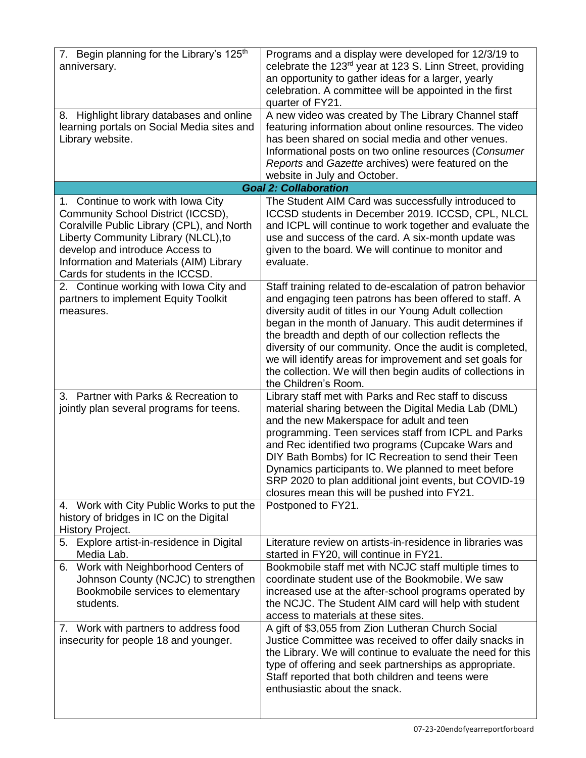| 7. Begin planning for the Library's 125 <sup>th</sup><br>anniversary.                                                                                                                                                                                                            | Programs and a display were developed for 12/3/19 to<br>celebrate the 123rd year at 123 S. Linn Street, providing<br>an opportunity to gather ideas for a larger, yearly<br>celebration. A committee will be appointed in the first<br>quarter of FY21.                                                                                                                                                                                                                                                           |
|----------------------------------------------------------------------------------------------------------------------------------------------------------------------------------------------------------------------------------------------------------------------------------|-------------------------------------------------------------------------------------------------------------------------------------------------------------------------------------------------------------------------------------------------------------------------------------------------------------------------------------------------------------------------------------------------------------------------------------------------------------------------------------------------------------------|
| 8. Highlight library databases and online<br>learning portals on Social Media sites and<br>Library website.                                                                                                                                                                      | A new video was created by The Library Channel staff<br>featuring information about online resources. The video<br>has been shared on social media and other venues.<br>Informational posts on two online resources (Consumer<br>Reports and Gazette archives) were featured on the                                                                                                                                                                                                                               |
|                                                                                                                                                                                                                                                                                  | website in July and October.<br><b>Goal 2: Collaboration</b>                                                                                                                                                                                                                                                                                                                                                                                                                                                      |
| 1. Continue to work with Iowa City<br>Community School District (ICCSD),<br>Coralville Public Library (CPL), and North<br>Liberty Community Library (NLCL), to<br>develop and introduce Access to<br>Information and Materials (AIM) Library<br>Cards for students in the ICCSD. | The Student AIM Card was successfully introduced to<br>ICCSD students in December 2019. ICCSD, CPL, NLCL<br>and ICPL will continue to work together and evaluate the<br>use and success of the card. A six-month update was<br>given to the board. We will continue to monitor and<br>evaluate.                                                                                                                                                                                                                   |
| 2. Continue working with Iowa City and<br>partners to implement Equity Toolkit<br>measures.                                                                                                                                                                                      | Staff training related to de-escalation of patron behavior<br>and engaging teen patrons has been offered to staff. A<br>diversity audit of titles in our Young Adult collection<br>began in the month of January. This audit determines if<br>the breadth and depth of our collection reflects the<br>diversity of our community. Once the audit is completed,<br>we will identify areas for improvement and set goals for<br>the collection. We will then begin audits of collections in<br>the Children's Room. |
| 3. Partner with Parks & Recreation to<br>jointly plan several programs for teens.                                                                                                                                                                                                | Library staff met with Parks and Rec staff to discuss<br>material sharing between the Digital Media Lab (DML)<br>and the new Makerspace for adult and teen<br>programming. Teen services staff from ICPL and Parks<br>and Rec identified two programs (Cupcake Wars and<br>DIY Bath Bombs) for IC Recreation to send their Teen<br>Dynamics participants to. We planned to meet before<br>SRP 2020 to plan additional joint events, but COVID-19<br>closures mean this will be pushed into FY21.                  |
| 4. Work with City Public Works to put the<br>history of bridges in IC on the Digital<br>History Project.                                                                                                                                                                         | Postponed to FY21.                                                                                                                                                                                                                                                                                                                                                                                                                                                                                                |
| 5. Explore artist-in-residence in Digital<br>Media Lab.                                                                                                                                                                                                                          | Literature review on artists-in-residence in libraries was<br>started in FY20, will continue in FY21.                                                                                                                                                                                                                                                                                                                                                                                                             |
| Work with Neighborhood Centers of<br>6.<br>Johnson County (NCJC) to strengthen<br>Bookmobile services to elementary<br>students.                                                                                                                                                 | Bookmobile staff met with NCJC staff multiple times to<br>coordinate student use of the Bookmobile. We saw<br>increased use at the after-school programs operated by<br>the NCJC. The Student AIM card will help with student<br>access to materials at these sites.                                                                                                                                                                                                                                              |
| 7. Work with partners to address food<br>insecurity for people 18 and younger.                                                                                                                                                                                                   | A gift of \$3,055 from Zion Lutheran Church Social<br>Justice Committee was received to offer daily snacks in<br>the Library. We will continue to evaluate the need for this<br>type of offering and seek partnerships as appropriate.<br>Staff reported that both children and teens were<br>enthusiastic about the snack.                                                                                                                                                                                       |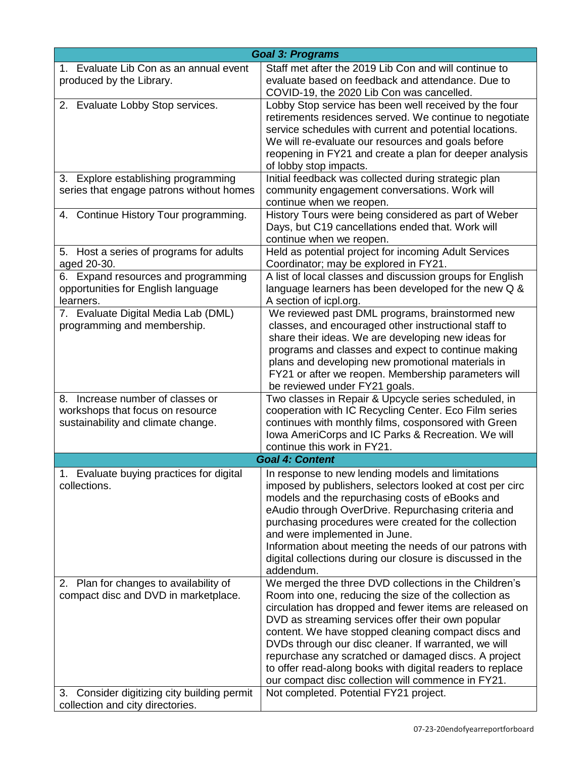| <b>Goal 3: Programs</b>                                                                                                       |                                                                                                                                                                                                                                                                                                                                                                                                                                                                                                                                                                    |
|-------------------------------------------------------------------------------------------------------------------------------|--------------------------------------------------------------------------------------------------------------------------------------------------------------------------------------------------------------------------------------------------------------------------------------------------------------------------------------------------------------------------------------------------------------------------------------------------------------------------------------------------------------------------------------------------------------------|
| 1. Evaluate Lib Con as an annual event<br>produced by the Library.                                                            | Staff met after the 2019 Lib Con and will continue to<br>evaluate based on feedback and attendance. Due to<br>COVID-19, the 2020 Lib Con was cancelled.                                                                                                                                                                                                                                                                                                                                                                                                            |
| 2. Evaluate Lobby Stop services.                                                                                              | Lobby Stop service has been well received by the four<br>retirements residences served. We continue to negotiate<br>service schedules with current and potential locations.<br>We will re-evaluate our resources and goals before<br>reopening in FY21 and create a plan for deeper analysis<br>of lobby stop impacts.                                                                                                                                                                                                                                             |
| 3. Explore establishing programming<br>series that engage patrons without homes                                               | Initial feedback was collected during strategic plan<br>community engagement conversations. Work will<br>continue when we reopen.                                                                                                                                                                                                                                                                                                                                                                                                                                  |
| 4. Continue History Tour programming.                                                                                         | History Tours were being considered as part of Weber<br>Days, but C19 cancellations ended that. Work will<br>continue when we reopen.                                                                                                                                                                                                                                                                                                                                                                                                                              |
| 5. Host a series of programs for adults<br>aged 20-30.                                                                        | Held as potential project for incoming Adult Services<br>Coordinator; may be explored in FY21.                                                                                                                                                                                                                                                                                                                                                                                                                                                                     |
| 6. Expand resources and programming<br>opportunities for English language<br>learners.                                        | A list of local classes and discussion groups for English<br>language learners has been developed for the new Q &<br>A section of icpl.org.                                                                                                                                                                                                                                                                                                                                                                                                                        |
| 7. Evaluate Digital Media Lab (DML)<br>programming and membership.                                                            | We reviewed past DML programs, brainstormed new<br>classes, and encouraged other instructional staff to<br>share their ideas. We are developing new ideas for<br>programs and classes and expect to continue making<br>plans and developing new promotional materials in<br>FY21 or after we reopen. Membership parameters will<br>be reviewed under FY21 goals.                                                                                                                                                                                                   |
| 8. Increase number of classes or<br>workshops that focus on resource<br>sustainability and climate change.                    | Two classes in Repair & Upcycle series scheduled, in<br>cooperation with IC Recycling Center. Eco Film series<br>continues with monthly films, cosponsored with Green<br>Iowa AmeriCorps and IC Parks & Recreation. We will<br>continue this work in FY21.                                                                                                                                                                                                                                                                                                         |
|                                                                                                                               | <b>Goal 4: Content</b>                                                                                                                                                                                                                                                                                                                                                                                                                                                                                                                                             |
| Evaluate buying practices for digital<br>1<br>collections.                                                                    | In response to new lending models and limitations<br>imposed by publishers, selectors looked at cost per circ<br>models and the repurchasing costs of eBooks and<br>eAudio through OverDrive. Repurchasing criteria and<br>purchasing procedures were created for the collection<br>and were implemented in June.<br>Information about meeting the needs of our patrons with<br>digital collections during our closure is discussed in the<br>addendum.                                                                                                            |
| 2. Plan for changes to availability of<br>compact disc and DVD in marketplace.<br>3. Consider digitizing city building permit | We merged the three DVD collections in the Children's<br>Room into one, reducing the size of the collection as<br>circulation has dropped and fewer items are released on<br>DVD as streaming services offer their own popular<br>content. We have stopped cleaning compact discs and<br>DVDs through our disc cleaner. If warranted, we will<br>repurchase any scratched or damaged discs. A project<br>to offer read-along books with digital readers to replace<br>our compact disc collection will commence in FY21.<br>Not completed. Potential FY21 project. |
| collection and city directories.                                                                                              |                                                                                                                                                                                                                                                                                                                                                                                                                                                                                                                                                                    |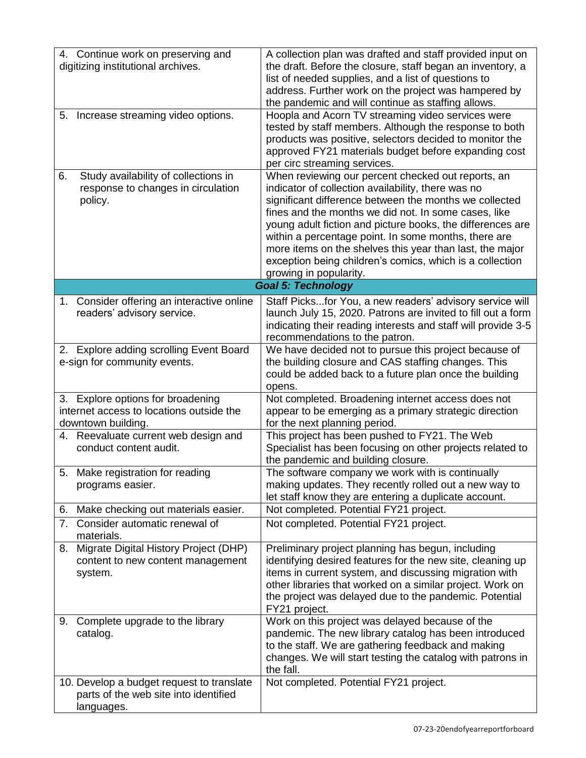| 4. Continue work on preserving and<br>digitizing institutional archives.                            | A collection plan was drafted and staff provided input on<br>the draft. Before the closure, staff began an inventory, a<br>list of needed supplies, and a list of questions to<br>address. Further work on the project was hampered by<br>the pandemic and will continue as staffing allows.                                                                                                                                                                                                       |  |
|-----------------------------------------------------------------------------------------------------|----------------------------------------------------------------------------------------------------------------------------------------------------------------------------------------------------------------------------------------------------------------------------------------------------------------------------------------------------------------------------------------------------------------------------------------------------------------------------------------------------|--|
| Increase streaming video options.<br>5.                                                             | Hoopla and Acorn TV streaming video services were<br>tested by staff members. Although the response to both<br>products was positive, selectors decided to monitor the<br>approved FY21 materials budget before expanding cost<br>per circ streaming services.                                                                                                                                                                                                                                     |  |
| Study availability of collections in<br>6.<br>response to changes in circulation<br>policy.         | When reviewing our percent checked out reports, an<br>indicator of collection availability, there was no<br>significant difference between the months we collected<br>fines and the months we did not. In some cases, like<br>young adult fiction and picture books, the differences are<br>within a percentage point. In some months, there are<br>more items on the shelves this year than last, the major<br>exception being children's comics, which is a collection<br>growing in popularity. |  |
| <b>Goal 5: Technology</b>                                                                           |                                                                                                                                                                                                                                                                                                                                                                                                                                                                                                    |  |
| 1. Consider offering an interactive online<br>readers' advisory service.                            | Staff Picksfor You, a new readers' advisory service will<br>launch July 15, 2020. Patrons are invited to fill out a form<br>indicating their reading interests and staff will provide 3-5<br>recommendations to the patron.                                                                                                                                                                                                                                                                        |  |
| 2. Explore adding scrolling Event Board<br>e-sign for community events.                             | We have decided not to pursue this project because of<br>the building closure and CAS staffing changes. This<br>could be added back to a future plan once the building<br>opens.                                                                                                                                                                                                                                                                                                                   |  |
| 3. Explore options for broadening<br>internet access to locations outside the<br>downtown building. | Not completed. Broadening internet access does not<br>appear to be emerging as a primary strategic direction<br>for the next planning period.                                                                                                                                                                                                                                                                                                                                                      |  |
| 4. Reevaluate current web design and<br>conduct content audit.                                      | This project has been pushed to FY21. The Web<br>Specialist has been focusing on other projects related to<br>the pandemic and building closure.                                                                                                                                                                                                                                                                                                                                                   |  |
| Make registration for reading<br>5.<br>programs easier.                                             | The software company we work with is continually<br>making updates. They recently rolled out a new way to<br>let staff know they are entering a duplicate account.                                                                                                                                                                                                                                                                                                                                 |  |
| Make checking out materials easier.<br>6.                                                           | Not completed. Potential FY21 project.                                                                                                                                                                                                                                                                                                                                                                                                                                                             |  |
| Consider automatic renewal of<br>7.<br>materials.                                                   | Not completed. Potential FY21 project.                                                                                                                                                                                                                                                                                                                                                                                                                                                             |  |
| Migrate Digital History Project (DHP)<br>8.<br>content to new content management<br>system.         | Preliminary project planning has begun, including<br>identifying desired features for the new site, cleaning up<br>items in current system, and discussing migration with<br>other libraries that worked on a similar project. Work on<br>the project was delayed due to the pandemic. Potential<br>FY21 project.                                                                                                                                                                                  |  |
| Complete upgrade to the library<br>9.<br>catalog.                                                   | Work on this project was delayed because of the<br>pandemic. The new library catalog has been introduced<br>to the staff. We are gathering feedback and making<br>changes. We will start testing the catalog with patrons in<br>the fall.                                                                                                                                                                                                                                                          |  |
| 10. Develop a budget request to translate<br>parts of the web site into identified<br>languages.    | Not completed. Potential FY21 project.                                                                                                                                                                                                                                                                                                                                                                                                                                                             |  |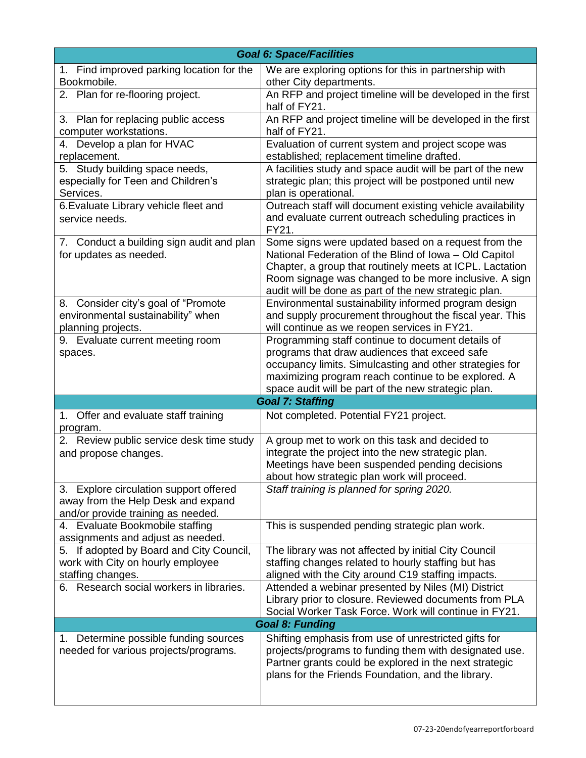| <b>Goal 6: Space/Facilities</b>                  |                                                                                                                |  |
|--------------------------------------------------|----------------------------------------------------------------------------------------------------------------|--|
| 1. Find improved parking location for the        | We are exploring options for this in partnership with                                                          |  |
| Bookmobile.                                      | other City departments.                                                                                        |  |
| 2. Plan for re-flooring project.                 | An RFP and project timeline will be developed in the first                                                     |  |
|                                                  | half of FY21.                                                                                                  |  |
| 3. Plan for replacing public access              | An RFP and project timeline will be developed in the first                                                     |  |
| computer workstations.                           | half of FY21.                                                                                                  |  |
| 4. Develop a plan for HVAC<br>replacement.       | Evaluation of current system and project scope was<br>established; replacement timeline drafted.               |  |
| 5. Study building space needs,                   | A facilities study and space audit will be part of the new                                                     |  |
| especially for Teen and Children's               | strategic plan; this project will be postponed until new                                                       |  |
| Services.                                        | plan is operational.                                                                                           |  |
| 6. Evaluate Library vehicle fleet and            | Outreach staff will document existing vehicle availability                                                     |  |
| service needs.                                   | and evaluate current outreach scheduling practices in                                                          |  |
|                                                  | FY21.                                                                                                          |  |
| 7. Conduct a building sign audit and plan        | Some signs were updated based on a request from the                                                            |  |
| for updates as needed.                           | National Federation of the Blind of Iowa - Old Capitol                                                         |  |
|                                                  | Chapter, a group that routinely meets at ICPL. Lactation                                                       |  |
|                                                  | Room signage was changed to be more inclusive. A sign<br>audit will be done as part of the new strategic plan. |  |
| 8. Consider city's goal of "Promote              | Environmental sustainability informed program design                                                           |  |
| environmental sustainability" when               | and supply procurement throughout the fiscal year. This                                                        |  |
| planning projects.                               | will continue as we reopen services in FY21.                                                                   |  |
| 9. Evaluate current meeting room                 | Programming staff continue to document details of                                                              |  |
| spaces.                                          | programs that draw audiences that exceed safe                                                                  |  |
|                                                  | occupancy limits. Simulcasting and other strategies for                                                        |  |
|                                                  | maximizing program reach continue to be explored. A                                                            |  |
|                                                  | space audit will be part of the new strategic plan.                                                            |  |
|                                                  | <b>Goal 7: Staffing</b>                                                                                        |  |
| 1. Offer and evaluate staff training<br>program. | Not completed. Potential FY21 project.                                                                         |  |
| 2. Review public service desk time study         | A group met to work on this task and decided to                                                                |  |
| and propose changes.                             | integrate the project into the new strategic plan.                                                             |  |
|                                                  | Meetings have been suspended pending decisions<br>about how strategic plan work will proceed.                  |  |
| 3. Explore circulation support offered           | Staff training is planned for spring 2020.                                                                     |  |
| away from the Help Desk and expand               |                                                                                                                |  |
| and/or provide training as needed.               |                                                                                                                |  |
| 4. Evaluate Bookmobile staffing                  | This is suspended pending strategic plan work.                                                                 |  |
| assignments and adjust as needed.                |                                                                                                                |  |
| 5. If adopted by Board and City Council,         | The library was not affected by initial City Council                                                           |  |
| work with City on hourly employee                | staffing changes related to hourly staffing but has                                                            |  |
| staffing changes.                                | aligned with the City around C19 staffing impacts.                                                             |  |
| 6. Research social workers in libraries.         | Attended a webinar presented by Niles (MI) District<br>Library prior to closure. Reviewed documents from PLA   |  |
|                                                  | Social Worker Task Force. Work will continue in FY21.                                                          |  |
| <b>Goal 8: Funding</b>                           |                                                                                                                |  |
| 1. Determine possible funding sources            | Shifting emphasis from use of unrestricted gifts for                                                           |  |
| needed for various projects/programs.            | projects/programs to funding them with designated use.                                                         |  |
|                                                  | Partner grants could be explored in the next strategic                                                         |  |
|                                                  | plans for the Friends Foundation, and the library.                                                             |  |
|                                                  |                                                                                                                |  |
|                                                  |                                                                                                                |  |